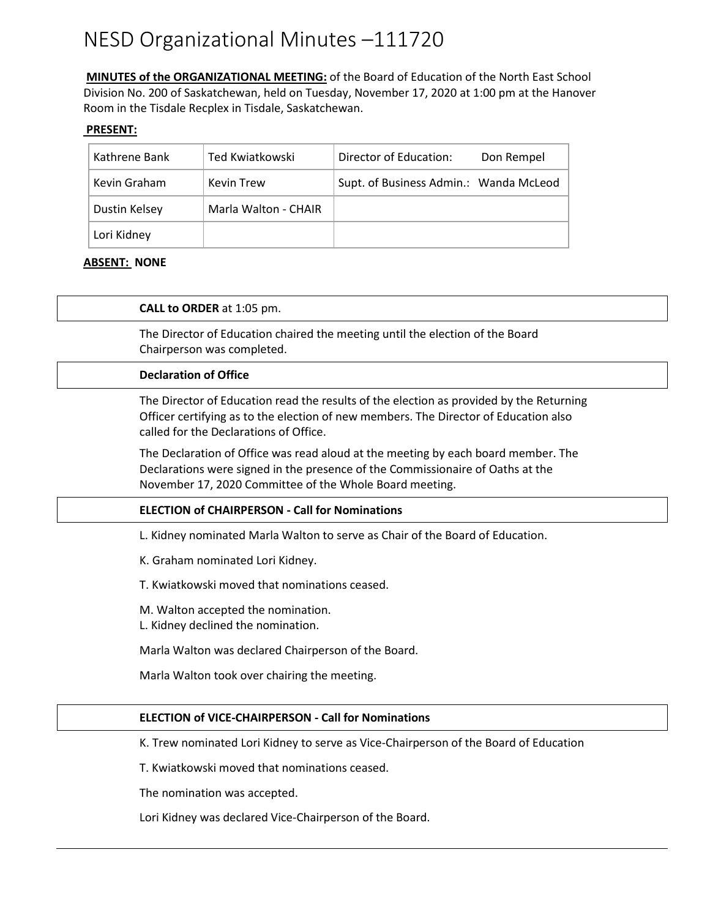# NESD Organizational Minutes –111720

**MINUTES of the ORGANIZATIONAL MEETING:** of the Board of Education of the North East School Division No. 200 of Saskatchewan, held on Tuesday, November 17, 2020 at 1:00 pm at the Hanover Room in the Tisdale Recplex in Tisdale, Saskatchewan.

## **PRESENT:**

| Kathrene Bank | Ted Kwiatkowski      | Director of Education:                 | Don Rempel |
|---------------|----------------------|----------------------------------------|------------|
| Kevin Graham  | <b>Kevin Trew</b>    | Supt. of Business Admin.: Wanda McLeod |            |
| Dustin Kelsey | Marla Walton - CHAIR |                                        |            |
| Lori Kidney   |                      |                                        |            |

# **ABSENT: NONE**

**CALL to ORDER** at 1:05 pm.

The Director of Education chaired the meeting until the election of the Board Chairperson was completed.

## **Declaration of Office**

The Director of Education read the results of the election as provided by the Returning Officer certifying as to the election of new members. The Director of Education also called for the Declarations of Office.

The Declaration of Office was read aloud at the meeting by each board member. The Declarations were signed in the presence of the Commissionaire of Oaths at the November 17, 2020 Committee of the Whole Board meeting.

## **ELECTION of CHAIRPERSON - Call for Nominations**

L. Kidney nominated Marla Walton to serve as Chair of the Board of Education.

K. Graham nominated Lori Kidney.

T. Kwiatkowski moved that nominations ceased.

M. Walton accepted the nomination.

L. Kidney declined the nomination.

Marla Walton was declared Chairperson of the Board.

Marla Walton took over chairing the meeting.

## **ELECTION of VICE-CHAIRPERSON - Call for Nominations**

K. Trew nominated Lori Kidney to serve as Vice-Chairperson of the Board of Education

T. Kwiatkowski moved that nominations ceased.

The nomination was accepted.

Lori Kidney was declared Vice-Chairperson of the Board.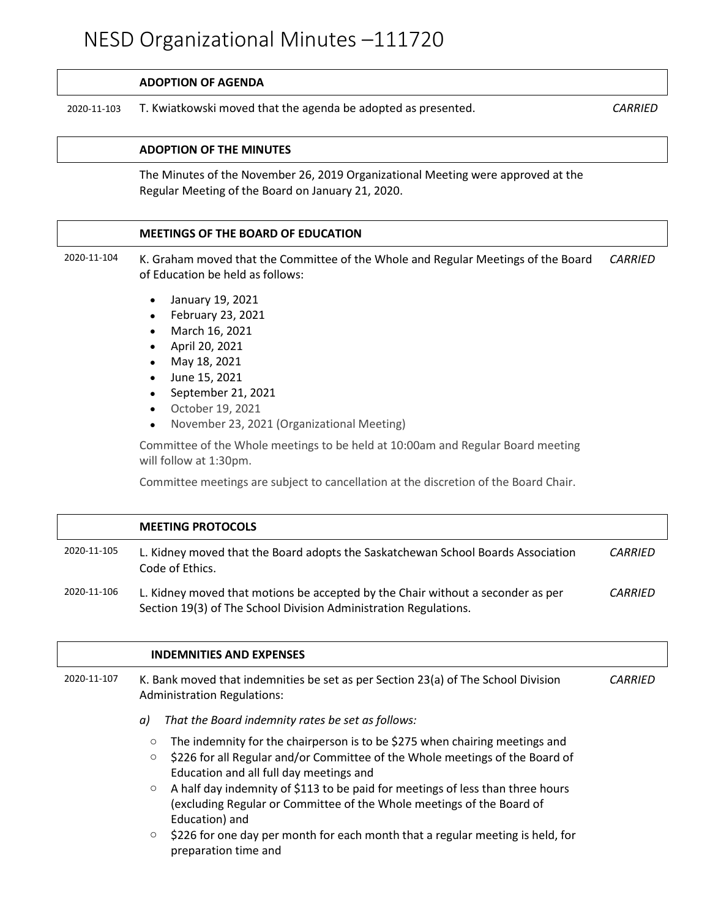## **ADOPTION OF AGENDA**

2020-11-103 T. Kwiatkowski moved that the agenda be adopted as presented. *CARRIED*

# **ADOPTION OF THE MINUTES**

The Minutes of the November 26, 2019 Organizational Meeting were approved at the Regular Meeting of the Board on January 21, 2020.

## **MEETINGS OF THE BOARD OF EDUCATION**

- 2020-11-104 K. Graham moved that the Committee of the Whole and Regular Meetings of the Board of Education be held as follows: *CARRIED*
	- January 19, 2021
	- February 23, 2021
	- March 16, 2021
	- April 20, 2021
	- May 18, 2021
	- June 15, 2021
	- September 21, 2021
	- October 19, 2021
	- November 23, 2021 (Organizational Meeting)

Committee of the Whole meetings to be held at 10:00am and Regular Board meeting will follow at 1:30pm.

Committee meetings are subject to cancellation at the discretion of the Board Chair.

|             | <b>MEETING PROTOCOLS</b>                                                                                                                                                                                                                                                                                                                                                                                                                                                                                                                  |                |
|-------------|-------------------------------------------------------------------------------------------------------------------------------------------------------------------------------------------------------------------------------------------------------------------------------------------------------------------------------------------------------------------------------------------------------------------------------------------------------------------------------------------------------------------------------------------|----------------|
| 2020-11-105 | L. Kidney moved that the Board adopts the Saskatchewan School Boards Association<br>Code of Ethics.                                                                                                                                                                                                                                                                                                                                                                                                                                       | <i>CARRIED</i> |
| 2020-11-106 | L. Kidney moved that motions be accepted by the Chair without a seconder as per<br>Section 19(3) of The School Division Administration Regulations.                                                                                                                                                                                                                                                                                                                                                                                       | CARRIED        |
|             | <b>INDEMNITIES AND EXPENSES</b>                                                                                                                                                                                                                                                                                                                                                                                                                                                                                                           |                |
| 2020-11-107 | K. Bank moved that indemnities be set as per Section 23(a) of The School Division<br><b>Administration Regulations:</b>                                                                                                                                                                                                                                                                                                                                                                                                                   |                |
|             | That the Board indemnity rates be set as follows:<br>a)                                                                                                                                                                                                                                                                                                                                                                                                                                                                                   |                |
|             | The indemnity for the chairperson is to be \$275 when chairing meetings and<br>$\circ$<br>\$226 for all Regular and/or Committee of the Whole meetings of the Board of<br>$\circ$<br>Education and all full day meetings and<br>A half day indemnity of \$113 to be paid for meetings of less than three hours<br>$\circ$<br>(excluding Regular or Committee of the Whole meetings of the Board of<br>Education) and<br>\$226 for one day per month for each month that a regular meeting is held, for<br>$\circ$<br>preparation time and |                |